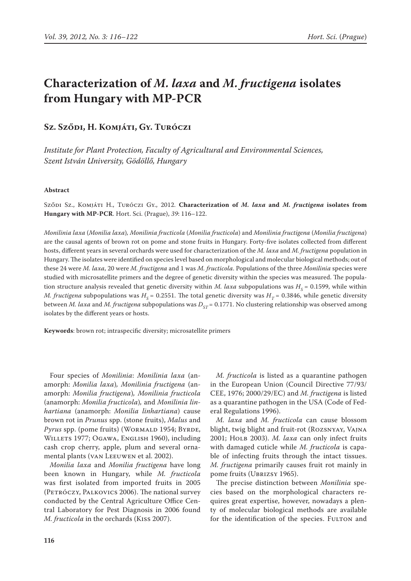# **Characterization of** *M. laxa* **and** *M. fructigena* **isolates from Hungary with MP-PCR**

# **Sz. Sződi, H. Komjáti, Gy. Turóczi**

*Institute for Plant Protection, Faculty of Agricultural and Environmental Sciences, Szent István University, Gödöllő, Hungary* 

#### **Abstract**

Sződi Sz., Komjáti H., Turóczi Gy., 2012. **Characterization of** *M. laxa* **and** *M. fructigena* **isolates from Hungary with MP-PCR**. Hort. Sci. (Prague), *39*: 116–122.

*Monilinia laxa* (*Monilia laxa*)*, Monilinia fructicola* (*Monilia fructicola*) and *Monilinia fructigena* (*Monilia fructigena*) are the causal agents of brown rot on pome and stone fruits in Hungary. Forty-five isolates collected from different hosts, different years in several orchards were used for characterization of the *M. laxa* and *M. fructigena* population in Hungary. The isolates were identified on species level based on morphological and molecular biological methods; out of these 24 were *M. laxa*, 20 were *M. fructigena* and 1 was *M. fructicola*. Populations of the three *Monilinia* species were studied with microsatellite primers and the degree of genetic diversity within the species was measured. The population structure analysis revealed that genetic diversity within *M. laxa* subpopulations was  $H_s = 0.1599$ , while within *M. fructigena* subpopulations was  $H_s = 0.2551$ . The total genetic diversity was  $H_r = 0.3846$ , while genetic diversity between *M. laxa* and *M. fructigena* subpopulations was  $D_{ST}$  = 0.1771. No clustering relationship was observed among isolates by the different years or hosts.

**Keywords**: brown rot; intraspecific diversity; microsatellite primers

Four species of *Monilinia*: *Monilinia laxa* (anamorph: *Monilia laxa*)*, Monilinia fructigena* (anamorph: *Monilia fructigena*)*, Monilinia fructicola*  (anamorph: *Monilia fructicola*)*,* and *Monilinia linhartiana* (anamorph: *Monilia linhartiana*) cause brown rot in *Prunus* spp. (stone fruits), *Malus* and *Pyrus* spp. (pome fruits) (WORMALD 1954; BYRDE, WILLETS 1977; OGAWA, ENGLISH 1960), including cash crop cherry, apple, plum and several ornamental plants (van Leeuwen et al. 2002).

*Monilia laxa* and *Monilia fructigena* have long been known in Hungary, while *M. fructicola* was first isolated from imported fruits in 2005 (Petróczy, Palkovics 2006). The national survey conducted by the Central Agriculture Office Central Laboratory for Pest Diagnosis in 2006 found *M. fructicola* in the orchards (Kiss 2007).

*M. fructicola* is listed as a quarantine pathogen in the European Union (Council Directive 77/93/ CEE, 1976; 2000/29/EC) and *M. fructigena* is listed as a quarantine pathogen in the USA (Code of Federal Regulations 1996).

*M. laxa* and *M. fructicola* can cause blossom blight, twig blight and fruit-rot (Rozsnyay, Vajna 2001; Holb 2003). *M. laxa* can only infect fruits with damaged cuticle while *M. fructicola* is capable of infecting fruits through the intact tissues. *M. fructigena* primarily causes fruit rot mainly in pome fruits (UBRIZSY 1965).

The precise distinction between *Monilinia* species based on the morphological characters requires great expertise, however, nowadays a plenty of molecular biological methods are available for the identification of the species. FULTON and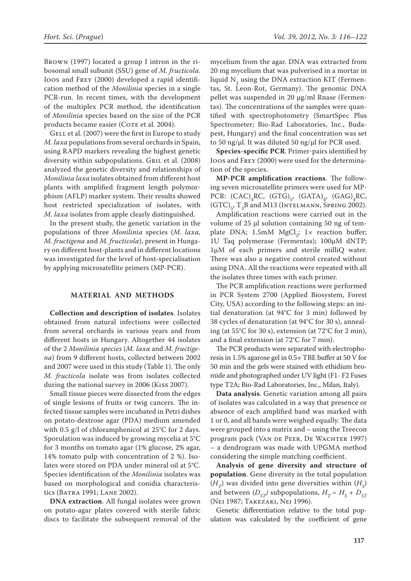Brown (1997) located a group I intron in the ribosomal small subunit (SSU) gene of *M. fructicola*. Ioos and Frey (2000) developed a rapid identification method of the *Monilinia* species in a single PCR-run. In recent times, with the development of the multiplex PCR method, the identification of *Monilinia* species based on the size of the PCR products became easier (COTE et al. 2004).

GELL et al. (2007) were the first in Europe to study *M. laxa* populations from several orchards in Spain, using RAPD markers revealing the highest genetic diversity within subpopulations. GRIL et al. (2008) analyzed the genetic diversity and relationships of *Monilinia laxa* isolates obtained from different host plants with amplified fragment length polymorphism (AFLP) marker system. Their results showed host restricted specialization of isolates, with *M. laxa* isolates from apple clearly distinguished.

In the present study, the genetic variation in the populations of three *Monilinia* species (*M. laxa, M. fructigena* and *M. fructicola*), present in Hungary on different host-plants and in different locations was investigated for the level of host-specialisation by applying microsatellite primers (MP-PCR).

#### **MATERIAL AND METHODS**

**Collection and description of isolates**. Isolates obtained from natural infections were collected from several orchards in various years and from different hosts in Hungary. Altogether 44 isolates of the 2 *Monilinia species* (*M. laxa* and *M. fructigena*) from 9 different hosts, collected between 2002 and 2007 were used in this study (Table 1). The only *M. fructicola* isolate was from isolates collected during the national survey in 2006 (Kiss 2007).

Small tissue pieces were dissected from the edges of single lesions of fruits or twig cancers. The infected tissue samples were incubated in Petri dishes on potato-dextrose agar (PDA) medium amended with 0.5 g/l of chloramphenicol at 25°C for 2 days. Sporulation was induced by growing mycelia at 5°C for 3 months on tomato agar (1% glucose, 2% agar, 14% tomato pulp with concentration of 2 %). Isolates were stored on PDA under mineral oil at 5°C. Species identification of the *Monilinia* isolates was based on morphological and conidia characteristics (BATRA 1991; LANE 2002).

**DNA extraction**. All fungal isolates were grown on potato-agar plates covered with sterile fabric discs to facilitate the subsequent removal of the

mycelium from the agar. DNA was extracted from 20 mg mycelium that was pulverised in a mortar in liquid  $N_2$  using the DNA extraction KIT (Fermentas, St. Leon-Rot, Germany). The genomic DNA pellet was suspended in 20 µg/ml Rnase (Fermentas). The concentrations of the samples were quantified with spectrophotometry (SmartSpec Plus Spectrometer; Bio-Rad Laboratories, Inc., Budapest, Hungary) and the final concentration was set to 50 ng/ $\mu$ l. It was diluted 50 ng/ $\mu$ l for PCR used.

**Species-specific PCR**. Primer-pairs identified by Ioos and Frey (2000) were used for the determination of the species.

**MP-PCR amplification reactions**. The following seven microsatellite primers were used for MP-PCR:  $(CAC)_4$ RC,  $(GTG)_5$ ,  $(GATA)_{4}$ ,  $(GAG)_4$ RC,  $(GTC)_{5}$ , T<sub>3</sub>B and M13 (INTELMANN, SPRING 2002).

Amplification reactions were carried out in the volume of 25 µl solution containing 50 ng of template DNA; 1.5mM  $MgCl_2$ ; 1× reaction buffer; 1U Taq polymerase (Fermentas); 100µM dNTP; 1µM of each primers and sterile milliQ water. There was also a negative control created without using DNA. All the reactions were repeated with all the isolates three times with each primer.

The PCR amplification reactions were performed in PCR System 2700 (Applied Biosystem, Forest City, USA) according to the following steps: an initial denaturation (at 94°C for 3 min) followed by 38 cycles of denaturation (at 94°C for 30 s), annealing (at 55°C for 30 s), extension (at 72°C for 2 min), and a final extension (at 72°C for 7 min).

The PCR products were separated with electrophoresis in 1.5% agarose gel in 0.5× TBE buffer at 50 V for 50 min and the gels were stained with ethidium bromide and photographed under UV light (F1- F2 Fuses type T2A; Bio-Rad Laboratories, Inc., Milan, Italy).

**Data analysis**. Genetic variation among all pairs of isolates was calculated in a way that presence or absence of each amplified band was marked with 1 or 0, and all bands were weighed equally. The data were grouped into a matrix and – using the Treecon program pack (VAN DE PEER, DE WACHTER 1997) – a dendrogram was made with UPGMA method considering the simple matching coefficient.

**Analysis of gene diversity and structure of population**. Gene diversity in the total population  $(H_T)$  was divided into gene diversities within  $(H_S)$ and between  $(D_{ST})$  subpopulations,  $H_T = H_S + D_{ST}$ (Nei 1987; Takezaki, Nei 1996).

Genetic differentiation relative to the total population was calculated by the coefficient of gene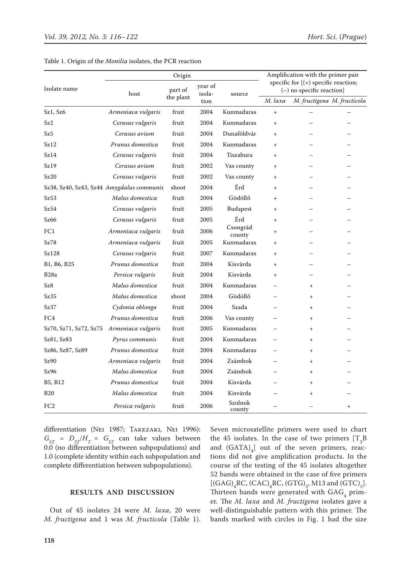|                                           |                    | Amplification with the primer pair |                           |                    |                                                                        |                             |        |
|-------------------------------------------|--------------------|------------------------------------|---------------------------|--------------------|------------------------------------------------------------------------|-----------------------------|--------|
| Isolate name                              | host               | part of<br>the plant               | year of<br>isola-<br>tion | source             | specific for $[ (+)$ specific reaction;<br>$(-)$ no specific reaction] |                             |        |
|                                           |                    |                                    |                           |                    | M. laxa                                                                | M. fructigena M. fructicola |        |
| Sz1, Sz6                                  | Armeniaca vulgaris | fruit                              | 2004                      | Kunmadaras         | $\ddot{}$                                                              |                             |        |
| Sz2                                       | Cerasus vulgaris   | fruit                              | 2004                      | Kunmadaras         | $+$                                                                    |                             |        |
| Sz5                                       | Cerasus avium      | fruit                              | 2004                      | Dunaföldvár        | $^{+}$                                                                 |                             |        |
| Sz12                                      | Prunus domestica   | fruit                              | 2004                      | Kunmadaras         | $^{+}$                                                                 |                             |        |
| Sz14                                      | Cerasus vulgaris   | fruit                              | 2004                      | Tiszabura          | $^{+}$                                                                 |                             |        |
| Sz19                                      | Cerasus avium      | fruit                              | 2002                      | Vas county         | $^{+}$                                                                 |                             |        |
| Sz20                                      | Cerasus vulgaris   | fruit                              | 2002                      | Vas county         | $+$                                                                    |                             |        |
| Sz38, Sz40, Sz43, Sz44 Amygdalus communis |                    | shoot                              | 2004                      | Érd                | $\ddot{}$                                                              |                             |        |
| Sz53                                      | Malus domestica    | fruit                              | 2004                      | Gödöllő            | $\ddot{}$                                                              |                             |        |
| Sz54                                      | Cerasus vulgaris   | fruit                              | 2005                      | Budapest           | $^{+}$                                                                 |                             |        |
| Sz66                                      | Cerasus vulgaris   | fruit                              | 2005                      | Érd                | $^{+}$                                                                 |                             |        |
| FC1                                       | Armeniaca vulgaris | fruit                              | 2006                      | Csongrád<br>county | $\ddot{}$                                                              |                             |        |
| Sz78                                      | Armeniaca vulgaris | fruit                              | 2005                      | Kunmadaras         | $+$                                                                    |                             |        |
| Sz128                                     | Cerasus vulgaris   | fruit                              | 2007                      | Kunmadaras         | $+$                                                                    |                             |        |
| B1, B6, B25                               | Prunus domestica   | fruit                              | 2004                      | Kisvárda           | $+$                                                                    |                             |        |
| B <sub>28</sub> a                         | Persica vulgaris   | fruit                              | 2004                      | Kisvárda           | $^{+}$                                                                 |                             |        |
| Sz8                                       | Malus domestica    | fruit                              | 2004                      | Kunmadaras         |                                                                        | $+$                         |        |
| Sz35                                      | Malus domestica    | shoot                              | 2004                      | Gödöllő            |                                                                        | $\ddot{}$                   |        |
| Sz37                                      | Cydonia oblonga    | fruit                              | 2004                      | Szada              |                                                                        | $+$                         |        |
| FC4                                       | Prunus domestica   | fruit                              | 2006                      | Vas county         |                                                                        | $^{+}$                      |        |
| Sz70, Sz71, Sz72, Sz75                    | Armeniaca vulgaris | fruit                              | 2005                      | Kunmadaras         |                                                                        | $^{+}$                      |        |
| Sz81, Sz83                                | Pyrus communis     | fruit                              | 2004                      | Kunmadaras         |                                                                        | $^{+}$                      |        |
| Sz86, Sz87, Sz89                          | Prunus domestica   | fruit                              | 2004                      | Kunmadaras         |                                                                        | $+$                         |        |
| Sz90                                      | Armeniaca vulgaris | fruit                              | 2004                      | Zsámbok            |                                                                        | $^{+}$                      |        |
| Sz96                                      | Malus domestica    | fruit                              | 2004                      | Zsámbok            |                                                                        | $+$                         |        |
| B5, B12                                   | Prunus domestica   | fruit                              | 2004                      | Kisvárda           |                                                                        | $\ddot{}$                   |        |
| <b>B20</b>                                | Malus domestica    | fruit                              | 2004                      | Kisvárda           |                                                                        | $\ddot{}$                   |        |
| FC <sub>2</sub>                           | Persica vulgaris   | fruit                              | 2006                      | Szolnok<br>county  |                                                                        |                             | $^{+}$ |

|  |  |  |  |  |  | Table 1. Origin of the <i>Monilia</i> isolates, the PCR reaction |  |  |  |
|--|--|--|--|--|--|------------------------------------------------------------------|--|--|--|
|--|--|--|--|--|--|------------------------------------------------------------------|--|--|--|

differentiation (Nei 1987; Takezaki, Nei 1996):  $G_{ST} = D_{ST}/H_T \times G_{ST}$  can take values between 0.0 (no differentiation between subpopulations) and 1.0 (complete identity within each subpopulation and complete differentiation between subpopulations).

## **RESULTS AND DISCUSSION**

Out of 45 isolates 24 were *M. laxa*, 20 were *M. fructigena* and 1 was *M. fructicola* (Table 1). Seven microsatellite primers were used to chart the 45 isolates. In the case of two primers  $[T_3B]$ and  $(GATA)_{4}$  out of the seven primers, reactions did not give amplification products. In the course of the testing of the 45 isolates altogether 52 bands were obtained in the case of five primers [(GAG)<sub>4</sub>RC, (CAC)<sub>4</sub>RC, (GTG)<sub>5</sub>, M13 and (GTC)<sub>5</sub>]. Thirteen bands were generated with  $GAG_4$  primer. The *M. laxa* and *M. fructigena* isolates gave a well-distinguishable pattern with this primer. The bands marked with circles in Fig. 1 had the size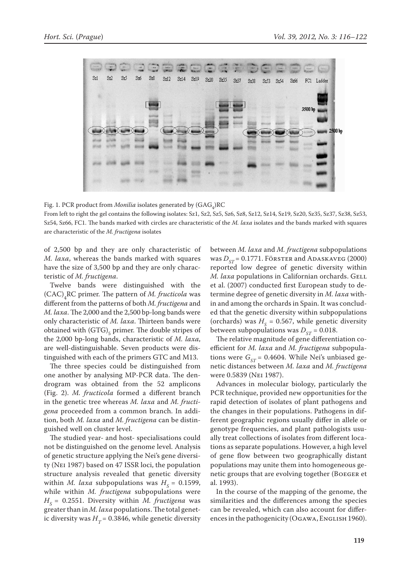

Fig. 1. PCR product from *Monilia* isolates generated by  $(\text{GAG}_{4})\text{RC}$ 

From left to right the gel contains the following isolates: Sz1, Sz2, Sz5, Sz6, Sz8, Sz12, Sz14, Sz19, Sz20, Sz35, Sz37, Sz38, Sz53, Sz54, Sz66, FC1. The bands marked with circles are characteristic of the *M. laxa* isolates and the bands marked with squares are characteristic of the *M. fructigena* isolates

of 2,500 bp and they are only characteristic of *M. laxa*, whereas the bands marked with squares have the size of 3,500 bp and they are only characteristic of *M. fructigena*.

Twelve bands were distinguished with the (CAC)4 RC primer. The pattern of *M. fructicola* was different from the patterns of both *M. fructigena* and *M. laxa*. The 2,000 and the 2,500 bp-long bands were only characteristic of *M. laxa*. Thirteen bands were obtained with  $(GTG)_5$  primer. The double stripes of the 2,000 bp-long bands, characteristic of *M. laxa*, are well-distinguishable. Seven products were distinguished with each of the primers GTC and M13.

The three species could be distinguished from one another by analysing MP-PCR data. The dendrogram was obtained from the 52 amplicons (Fig. 2). *M. fructicola* formed a different branch in the genetic tree whereas *M. laxa* and *M. fructigena* proceeded from a common branch. In addition, both *M. laxa* and *M. fructigena* can be distinguished well on cluster level.

The studied year- and host- specialisations could not be distinguished on the genome level. Analysis of genetic structure applying the Nei's gene diversity (Nei 1987) based on 47 ISSR loci, the population structure analysis revealed that genetic diversity within *M. laxa* subpopulations was  $H<sub>s</sub> = 0.1599$ , while within *M. fructigena* subpopulations were  $H<sub>S</sub>$  = 0.2551. Diversity within *M. fructigena* was greater than in *M. laxa* populations. The total genetic diversity was  $H_T$  = 0.3846, while genetic diversity

between *M. laxa* and *M. fructigena* subpopulations was  $D_{cr}$  = 0.1771. Förster and Adaskaveg (2000) reported low degree of genetic diversity within *M. laxa* populations in Californian orchards. GELL et al. (2007) conducted first European study to determine degree of genetic diversity in *M. laxa* within and among the orchards in Spain. It was concluded that the genetic diversity within subpopulations (orchards) was  $H<sub>g</sub> = 0.567$ , while genetic diversity between subpopulations was  $D_{ST}$  = 0.018.

The relative magnitude of gene differentiation coefficient for *M. laxa* and *M. fructigena* subpopulations were  $G_{ST}$  = 0.4604. While Nei's unbiased genetic distances between *M. laxa* and *M. fructigena* were 0.5839 (Nei 1987).

Advances in molecular biology, particularly the PCR technique, provided new opportunities for the rapid detection of isolates of plant pathogens and the changes in their populations. Pathogens in different geographic regions usually differ in allele or genotype frequencies, and plant pathologists usually treat collections of isolates from different locations as separate populations. However, a high level of gene flow between two geographically distant populations may unite them into homogeneous genetic groups that are evolving together (Boeger et al. 1993).

In the course of the mapping of the genome, the similarities and the differences among the species can be revealed, which can also account for differences in the pathogenicity (OGAWA, ENGLISH 1960).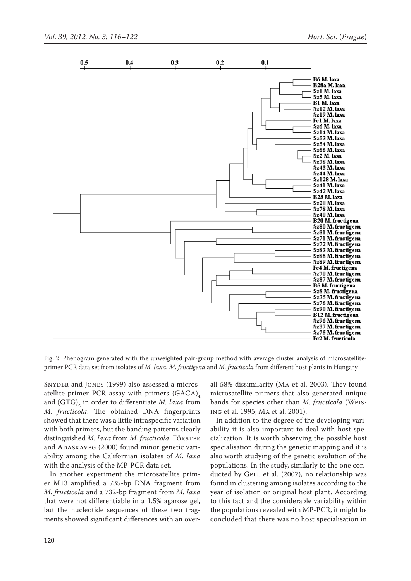

Fig. 2. Phenogram generated with the unweighted pair-group method with average cluster analysis of microsatelliteprimer PCR data set from isolates of *M. laxa*, *M. fructigena* and *M. fructicola* from different host plants in Hungary

SNYDER and JONES (1999) also assessed a microsatellite-primer PCR assay with primers  $(GACA)_4$ and (GTG)<sub>5</sub> in order to differentiate *M. laxa* from *M. fructicola*. The obtained DNA fingerprints showed that there was a little intraspecific variation with both primers, but the banding patterns clearly distinguished *M. laxa* from *M. fructicola*. FÖRSTER and ADASKAVEG (2000) found minor genetic variability among the Californian isolates of *M. laxa* with the analysis of the MP-PCR data set.

In another experiment the microsatellite primer M13 amplified a 735-bp DNA fragment from *M. fructicola* and a 732-bp fragment from *M. laxa* that were not differentiable in a 1.5% agarose gel, but the nucleotide sequences of these two fragments showed significant differences with an overall 58% dissimilarity (Ma et al. 2003). They found microsatellite primers that also generated unique bands for species other than *M. fructicola* (Weising et al. 1995; Ma et al. 2001).

In addition to the degree of the developing variability it is also important to deal with host specialization. It is worth observing the possible host specialisation during the genetic mapping and it is also worth studying of the genetic evolution of the populations. In the study, similarly to the one conducted by GELL et al. (2007), no relationship was found in clustering among isolates according to the year of isolation or original host plant. According to this fact and the considerable variability within the populations revealed with MP-PCR, it might be concluded that there was no host specialisation in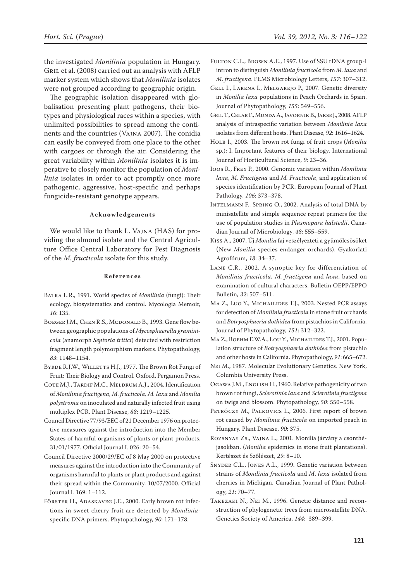the investigated *Monilinia* population in Hungary. Gril et al. (2008) carried out an analysis with AFLP marker system which shows that *Monilinia* isolates were not grouped according to geographic origin.

The geographic isolation disappeared with globalisation presenting plant pathogens, their biotypes and physiological races within a species, with unlimited possibilities to spread among the continents and the countries (Vajna 2007). The conidia can easily be conveyed from one place to the other with cargoes or through the air. Considering the great variability within *Monilinia* isolates it is imperative to closely monitor the population of *Monilinia* isolates in order to act promptly once more pathogenic, aggressive, host-specific and perhaps fungicide-resistant genotype appears.

### **Acknowledgements**

We would like to thank L. Vajna (HAS) for providing the almond isolate and the Central Agriculture Office Central Laboratory for Pest Diagnosis of the *M. fructicola* isolate for this study.

#### **References**

- Batra L.R., 1991. World species of *Monilinia* (fungi): Their ecology, biosystematics and control. Mycologia Memoir, *16*: 135.
- BOEGER J.M., CHEN R.S., MCDONALD B., 1993. Gene flow between geographic populations of *Mycosphaerella graminicola* (anamorph *Septoria tritici*) detected with restriction fragment length polymorphism markers. Phytopathology, *83*: 1148–1154.
- BYRDE R.J.W., WILLETTS H.J., 1977. The Brown Rot Fungi of Fruit: Their Biology and Control. Oxford, Pergamon Press.
- COTE M.J., TARDIF M.C., MELDRUM A.J., 2004. Identification of *Monilinia fructigena, M. fructicola, M. laxa* and *Monilia polystroma* on inoculated and naturally infected fruit using multiplex PCR. Plant Disease, *88*: 1219–1225.
- Council Directive 77/93/EEC of 21 December 1976 on protective measures against the introduction into the Member States of harmful organisms of plants or plant products. 31/01/1977. Official Journal L 026: 20–54.
- Council Directive 2000/29/EC of 8 May 2000 on protective measures against the introduction into the Community of organisms harmful to plants or plant products and against their spread within the Community. 10/07/2000. Official Journal L 169: 1–112.
- FÖRSTER H., ADASKAVEG J.E., 2000. Early brown rot infections in sweet cherry fruit are detected by *Monilinia*specific DNA primers. Phytopathology, *90*: 171–178.
- Fulton C.E., Brown A.E., 1997. Use of SSU rDNA group-I intron to distinguish *Monilinia fructicola* from *M. laxa* and *M. fructigena*. FEMS Microbiology Letters, *157*: 307–312.
- Gell I., Larena I., Melgarejo P., 2007. Genetic diversity in *Monilia laxa* populations in Peach Orchards in Spain. Journal of Phytopathology, *155*: 549–556.
- Gril T., Celar F., Munda A., Javornik B., Jakse J., 2008. AFLP analysis of intraspecific variation between *Monilinia laxa*  isolates from different hosts. Plant Disease, *92*: 1616–1624.
- Holb I., 2003. The brown rot fungi of fruit crops (*Monilia*  sp.): I. Important features of their biology. International Journal of Horticultural Science, *9*: 23–36.
- Ioos R., Frey P., 2000. Genomic variation within *Monilinia laxa*, *M. Fructigena* and *M. Fructicola*, and application of species identification by PCR. European Journal of Plant Pathology, *106*: 373–378.
- Intelmann F., Spring O., 2002. Analysis of total DNA by minisatellite and simple sequence repeat primers for the use of population studies in *Plasmopara halstedii*. Canadian Journal of Microbiology, *48*: 555–559.
- Kiss A., 2007. Új *Monilia* faj veszélyezteti a gyümölcsösöket (New *Monilia* species endanger orchards). Gyakorlati Agrofórum, *18*: 34–37.
- Lane C.R., 2002. A synoptic key for differentiation of *Monilinia fructicola*, *M. fructigena* and *laxa*, based on examination of cultural characters. Bulletin OEPP/EPPO Bulletin, *32*: 507–511.
- Ma Z., Luo Y., Michailides T.J., 2003. Nested PCR assays for detection of *Monilinia fructicola* in stone fruit orchards and *Botryosphaeria dothidea* from pistachios in California. Journal of Phytopathology, *151*: 312–322.
- Ma Z., Boehm E.W.A., Lou Y., Michailides T.J., 2001. Population structure of *Botryosphaeria dothidea* from pistachio and other hosts in California. Phytopathology, *91*: 665–672.
- Nei M., 1987. Molecular Evolutionary Genetics. New York, Columbia University Press.
- OGAWA J.M., ENGLISH H., 1960. Relative pathogenicity of two brown rot fungi, *Sclerotinia laxa* and *Sclerotinia fructigena* on twigs and blossom. Phytopathology, *50*: 550–558.
- PETRÓCZY M., PALKOVICS L., 2006. First report of brown rot caused by *Monilinia fructicola* on imported peach in Hungary. Plant Disease, *90*: 375.
- Rozsnyay Zs., Vajna L., 2001. Monilia járvány a csonthéjasokban. (*Monilia* epidemics in stone fruit plantations). Kertészet és Szőlészet, *29*: 8–10.
- Snyder C.L., Jones A.L., 1999. Genetic variation between strains of *Monilinia fructicola* and *M*. *laxa* isolated from cherries in Michigan. Canadian Journal of Plant Pathology, *21*: 70–77.
- Takezaki N., Nei M., 1996. Genetic distance and reconstruction of phylogenetic trees from microsatellite DNA. Genetics Society of America, *144*: 389–399.